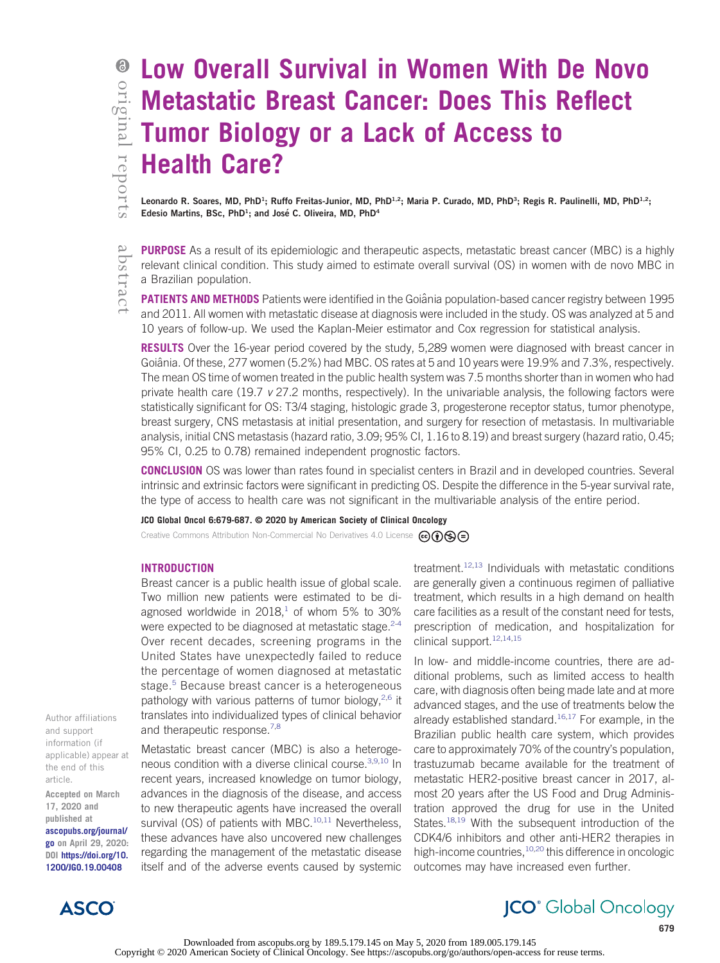abstract

# Low Overall Survival in Women With De Novo Metastatic Breast Cancer: Does This Reflect Tumor Biology or a Lack of Access to Health Care?

Leonardo R. Soares, MD, PhD<sup>1</sup>; Ruffo Freitas-Junior, MD, PhD<sup>1,2</sup>; Maria P. Curado, MD, PhD<sup>3</sup> Leonardo R. Soares, MD, PhD<sup>1</sup>; Ruffo Freitas-Junior, MD, PhD<sup>1,2</sup>; Maria P. Curado, MD, PhD<sup>3</sup>; Regis R. Paulinelli, MD, PhD<sup>1,2</sup>; Edesio Martins, BSc, PhD<sup>1</sup>; and José C. Oliveira, MD, PhD<sup>4</sup>

**PURPOSE** As a result of its epidemiologic and therapeutic aspects, metastatic breast cancer (MBC) is a highly relevant clinical condition. This study aimed to estimate overall survival (OS) in women with de novo MBC in a Brazilian population.

PATIENTS AND METHODS Patients were identified in the Goiânia population-based cancer registry between 1995 and 2011. All women with metastatic disease at diagnosis were included in the study. OS was analyzed at 5 and 10 years of follow-up. We used the Kaplan-Meier estimator and Cox regression for statistical analysis.

**RESULTS** Over the 16-year period covered by the study, 5,289 women were diagnosed with breast cancer in Goiânia. Of these, 277 women (5.2%) had MBC. OS rates at 5 and 10 years were 19.9% and 7.3%, respectively. The mean OS time of women treated in the public health system was 7.5 months shorter than in women who had private health care (19.7  $v$  27.2 months, respectively). In the univariable analysis, the following factors were statistically significant for OS: T3/4 staging, histologic grade 3, progesterone receptor status, tumor phenotype, breast surgery, CNS metastasis at initial presentation, and surgery for resection of metastasis. In multivariable analysis, initial CNS metastasis (hazard ratio, 3.09; 95% CI, 1.16 to 8.19) and breast surgery (hazard ratio, 0.45; 95% CI, 0.25 to 0.78) remained independent prognostic factors.

CONCLUSION OS was lower than rates found in specialist centers in Brazil and in developed countries. Several intrinsic and extrinsic factors were significant in predicting OS. Despite the difference in the 5-year survival rate, the type of access to health care was not significant in the multivariable analysis of the entire period.

JCO Global Oncol 6:679-687. © 2020 by American Society of Clinical Oncology

Creative Commons Attribution Non-Commercial No Derivatives 4.0 License  $\omega$  (+)

#### INTRODUCTION

Breast cancer is a public health issue of global scale. Two million new patients were estimated to be diagnosed worldwide in  $2018<sup>1</sup>$  of whom 5% to 30% were expected to be diagnosed at metastatic stage. $2-4$  $2-4$ Over recent decades, screening programs in the United States have unexpectedly failed to reduce the percentage of women diagnosed at metastatic stage.<sup>[5](#page-7-3)</sup> Because breast cancer is a heterogeneous pathology with various patterns of tumor biology,  $2,6$  $2,6$  it translates into individualized types of clinical behavior and therapeutic response.<sup>[7,](#page-7-5)[8](#page-7-6)</sup>

and support information (if applicable) appear at the end of this article. Accepted on March 17, 2020 and published at [ascopubs.org/journal/](http://ascopubs.org/journal/go) [go](http://ascopubs.org/journal/go) on April 29, 2020: DOI [https://doi.org/10.](http://ascopubs.org/doi/full/10.1200/JGO.19.00408) [1200/JGO.19.00408](http://ascopubs.org/doi/full/10.1200/JGO.19.00408)

Author affiliations

Metastatic breast cancer (MBC) is also a heteroge-neous condition with a diverse clinical course.<sup>[3](#page-7-7),[9](#page-7-8),[10](#page-7-9)</sup> In recent years, increased knowledge on tumor biology, advances in the diagnosis of the disease, and access to new therapeutic agents have increased the overall survival (OS) of patients with MBC.<sup>10,[11](#page-7-10)</sup> Nevertheless, these advances have also uncovered new challenges regarding the management of the metastatic disease itself and of the adverse events caused by systemic

treatment.[12](#page-7-11)[,13](#page-7-12) Individuals with metastatic conditions are generally given a continuous regimen of palliative treatment, which results in a high demand on health care facilities as a result of the constant need for tests, prescription of medication, and hospitalization for clinical support.<sup>[12](#page-7-11)[,14](#page-7-13)[,15](#page-7-14)</sup>

In low- and middle-income countries, there are additional problems, such as limited access to health care, with diagnosis often being made late and at more advanced stages, and the use of treatments below the already established standard.<sup>[16](#page-8-0)[,17](#page-8-1)</sup> For example, in the Brazilian public health care system, which provides care to approximately 70% of the country's population, trastuzumab became available for the treatment of metastatic HER2-positive breast cancer in 2017, almost 20 years after the US Food and Drug Administration approved the drug for use in the United States.<sup>[18](#page-8-2)[,19](#page-8-3)</sup> With the subsequent introduction of the CDK4/6 inhibitors and other anti-HER2 therapies in high-income countries, <sup>[10,](#page-7-9)[20](#page-8-4)</sup> this difference in oncologic outcomes may have increased even further.



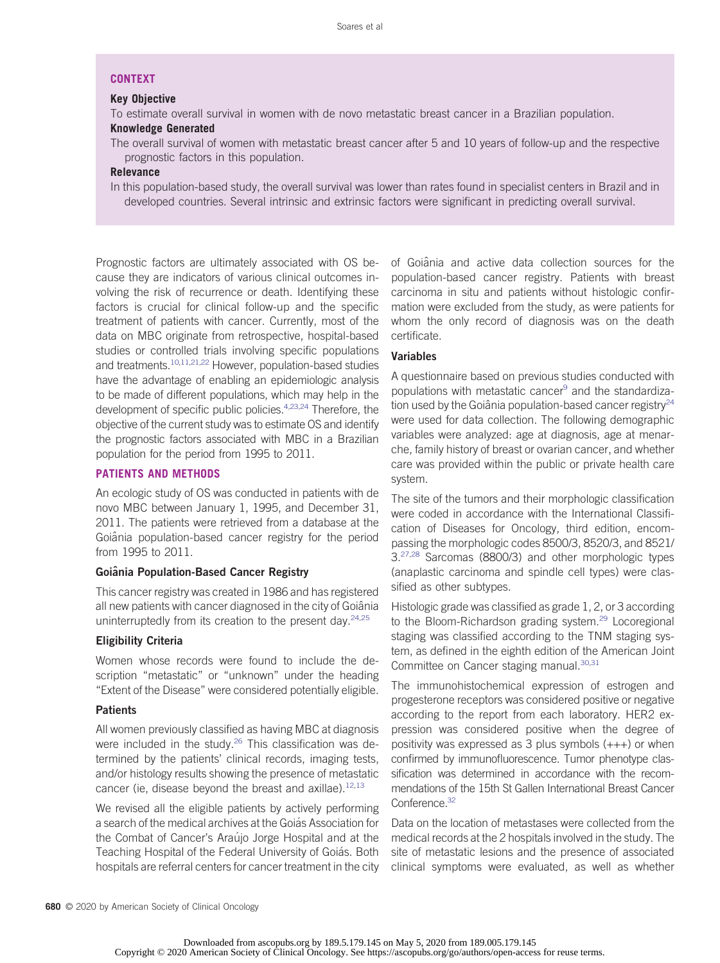# **CONTEXT**

### Key Objective

To estimate overall survival in women with de novo metastatic breast cancer in a Brazilian population. Knowledge Generated

The overall survival of women with metastatic breast cancer after 5 and 10 years of follow-up and the respective prognostic factors in this population.

# **Relevance**

In this population-based study, the overall survival was lower than rates found in specialist centers in Brazil and in developed countries. Several intrinsic and extrinsic factors were significant in predicting overall survival.

Prognostic factors are ultimately associated with OS because they are indicators of various clinical outcomes involving the risk of recurrence or death. Identifying these factors is crucial for clinical follow-up and the specific treatment of patients with cancer. Currently, most of the data on MBC originate from retrospective, hospital-based studies or controlled trials involving specific populations and treatments.[10](#page-7-9),[11](#page-7-10)[,21](#page-8-5)[,22](#page-8-6) However, population-based studies have the advantage of enabling an epidemiologic analysis to be made of different populations, which may help in the development of specific public policies.<sup>[4](#page-7-2),[23](#page-8-7)[,24](#page-8-8)</sup> Therefore, the objective of the current study was to estimate OS and identify the prognostic factors associated with MBC in a Brazilian population for the period from 1995 to 2011.

#### PATIENTS AND METHODS

An ecologic study of OS was conducted in patients with de novo MBC between January 1, 1995, and December 31, 2011. The patients were retrieved from a database at the Goiânia population-based cancer registry for the period from 1995 to 2011.

#### Goiânia Population-Based Cancer Registry

This cancer registry was created in 1986 and has registered all new patients with cancer diagnosed in the city of Goiânia uninterruptedly from its creation to the present day. $24,25$  $24,25$ 

# Eligibility Criteria

Women whose records were found to include the description "metastatic" or "unknown" under the heading "Extent of the Disease" were considered potentially eligible.

#### **Patients**

All women previously classified as having MBC at diagnosis were included in the study.<sup>[26](#page-8-10)</sup> This classification was determined by the patients' clinical records, imaging tests, and/or histology results showing the presence of metastatic cancer (ie, disease beyond the breast and axillae). $12,13$  $12,13$ 

We revised all the eligible patients by actively performing a search of the medical archives at the Goiás Association for the Combat of Cancer's Araujo Jorge Hospital and at the Teaching Hospital of the Federal University of Goiás. Both hospitals are referral centers for cancer treatment in the city

of Goiânia and active data collection sources for the population-based cancer registry. Patients with breast carcinoma in situ and patients without histologic confirmation were excluded from the study, as were patients for whom the only record of diagnosis was on the death certificate.

# Variables

A questionnaire based on previous studies conducted with populations with metastatic cancer<sup>[9](#page-7-8)</sup> and the standardiza-tion used by the Goiânia population-based cancer registry<sup>[24](#page-8-8)</sup> were used for data collection. The following demographic variables were analyzed: age at diagnosis, age at menarche, family history of breast or ovarian cancer, and whether care was provided within the public or private health care system.

The site of the tumors and their morphologic classification were coded in accordance with the International Classification of Diseases for Oncology, third edition, encompassing the morphologic codes 8500/3, 8520/3, and 8521/ 3.<sup>[27,](#page-8-11)[28](#page-8-12)</sup> Sarcomas (8800/3) and other morphologic types (anaplastic carcinoma and spindle cell types) were classified as other subtypes.

Histologic grade was classified as grade 1, 2, or 3 according to the Bloom-Richardson grading system.<sup>[29](#page-8-13)</sup> Locoregional staging was classified according to the TNM staging system, as defined in the eighth edition of the American Joint Committee on Cancer staging manual.<sup>[30](#page-8-14)[,31](#page-8-15)</sup>

The immunohistochemical expression of estrogen and progesterone receptors was considered positive or negative according to the report from each laboratory. HER2 expression was considered positive when the degree of positivity was expressed as 3 plus symbols (+++) or when confirmed by immunofluorescence. Tumor phenotype classification was determined in accordance with the recommendations of the 15th St Gallen International Breast Cancer Conference.<sup>[32](#page-8-16)</sup>

Data on the location of metastases were collected from the medical records at the 2 hospitals involved in the study. The site of metastatic lesions and the presence of associated clinical symptoms were evaluated, as well as whether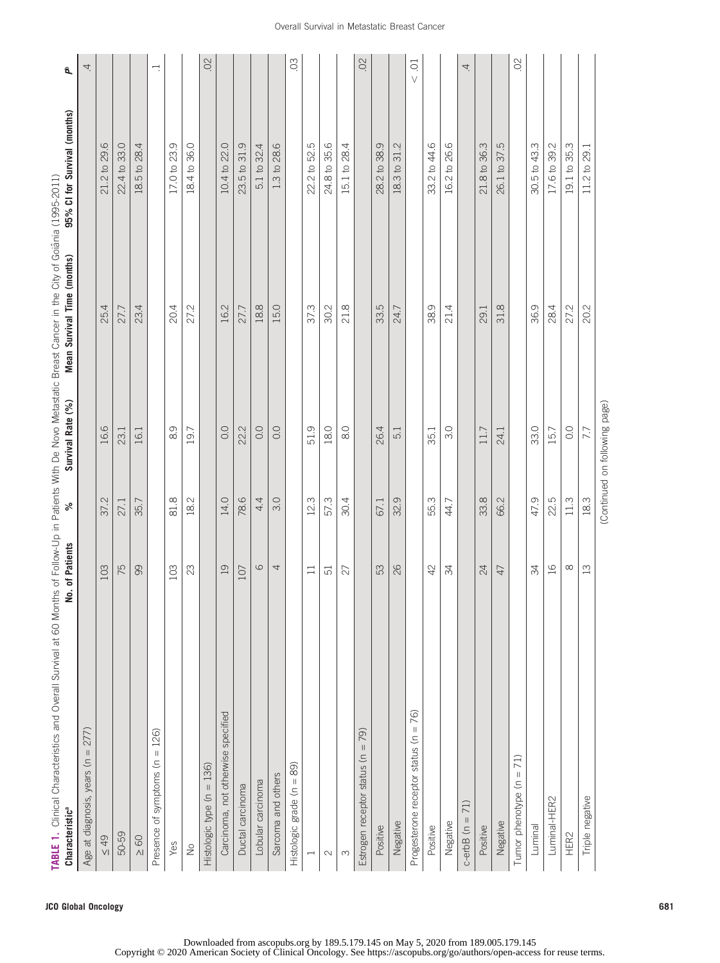<span id="page-2-0"></span>

| TABLE 1. Clinical Characteristics and Overall Survival at 60 Months of Follow-Up in Patients With De Novo Metastatic Breast Cancer in the City of Goiânia (1995-2011)<br>Characteristic <sup>a</sup> | No. of Patients | $\%$ | Survival Rate (%)             | Mean Survival Time (months) | 95% CI for Survival (months)                        | ô,             |
|------------------------------------------------------------------------------------------------------------------------------------------------------------------------------------------------------|-----------------|------|-------------------------------|-----------------------------|-----------------------------------------------------|----------------|
| 277)<br>$\mid \mid$<br>Age at diagnosis, years (n                                                                                                                                                    |                 |      |                               |                             |                                                     | 4.             |
| 6b >                                                                                                                                                                                                 | 103             | 37.2 | 16.6                          | 25.4                        | $\circ$<br>21.2 to 29.                              |                |
| 50-59                                                                                                                                                                                                | 75              | 27.1 | 23.1                          | 27.7                        | 22.4 to 33.0                                        |                |
| $\geq 60$                                                                                                                                                                                            | 8               | 35.7 | 16.1                          | 23.4                        | 18.5 to 28.4                                        |                |
| Presence of symptoms ( $n = 126$ )                                                                                                                                                                   |                 |      |                               |                             |                                                     | H              |
| Yes                                                                                                                                                                                                  | 103             | 81.8 | 8.9                           | 20.4                        | 17.0 to 23.9                                        |                |
| $\frac{1}{2}$                                                                                                                                                                                        | $\mathbb{S}^2$  | 18.2 | 19.7                          | Ņ<br>27.                    | 18.4 to 36.0                                        |                |
| Histologic type ( $n = 136$ )                                                                                                                                                                        |                 |      |                               |                             |                                                     | 02             |
| Carcinoma, not otherwise specified                                                                                                                                                                   | $\overline{19}$ | 14.0 | 0.0                           | 16.2                        | 10.4 to 22.0                                        |                |
| Ductal carcinoma                                                                                                                                                                                     | 107             | 78.6 | 22.2                          | 27.7                        | 23.5 to 31.9                                        |                |
| Lobular carcinoma                                                                                                                                                                                    | 6               | 4.4  | O.0                           | 18.8                        | 5.1 to 32.4                                         |                |
| Sarcoma and others                                                                                                                                                                                   | 4               | 3.0  | O.0                           | 15.0                        | 28.6<br>$\overline{\mathbb{C}}$<br>$1.\overline{3}$ |                |
| Histologic grade (n = 89)                                                                                                                                                                            |                 |      |                               |                             |                                                     | $\overline{0}$ |
| $\overline{\phantom{0}}$                                                                                                                                                                             | $\Box$          | 12.3 | 51.9                          | 37.3                        | 5<br>22.2 to 52.                                    |                |
| $\mathbb N$                                                                                                                                                                                          | 51              | 57.3 | 18.0                          | 30.2                        | 24.8 to 35.6                                        |                |
| $\infty$                                                                                                                                                                                             | 27              | 30.4 | 8.0                           | 21.8                        | 15.1 to 28.4                                        |                |
| $= 79$<br>Estrogen receptor status (n                                                                                                                                                                |                 |      |                               |                             |                                                     | 02             |
| Positive                                                                                                                                                                                             | 53              | 67.1 | 26.4                          | 33.5                        | 28.2 to 38.9                                        |                |
| Negative                                                                                                                                                                                             | 82              | 32.9 | 5.1                           | 24.7                        | Ņ<br>$\overline{\mathcal{E}}$<br>18.3 to            |                |
| Progesterone receptor status ( $n = 76$ )                                                                                                                                                            |                 |      |                               |                             |                                                     | ō<br>$\vee$    |
| Positive                                                                                                                                                                                             | $\varphi$       | 55.3 | 35.1                          | 38.9                        | 33.2 to 44.6                                        |                |
| Negative                                                                                                                                                                                             | ₹               | 44.7 | 3.0                           | 21.4                        | 16.2 to 26.6                                        |                |
| 71)<br>$c$ -erbB ( $n =$                                                                                                                                                                             |                 |      |                               |                             |                                                     | 4              |
| Positive                                                                                                                                                                                             | $\overline{24}$ | 33.8 | 11.7                          | 29.1                        | 21.8 to 36.3                                        |                |
| Negative                                                                                                                                                                                             | 47              | 66.2 | 24.1                          | 31.8                        | با<br>37<br>$\overline{c}$<br>26.1                  |                |
| $= 71$<br>Tumor phenotype (n                                                                                                                                                                         |                 |      |                               |                             |                                                     | $\frac{1}{2}$  |
| Luminal                                                                                                                                                                                              | ₩               | 47.9 | 33.0                          | 36.9                        | 30.5 to 43.3                                        |                |
| Luminal-HER2                                                                                                                                                                                         | $\frac{1}{2}$   | 22.5 | 15.7                          | 28.4                        | 17.6 to 39.2                                        |                |
| HER2                                                                                                                                                                                                 | $\infty$        | 11.3 | O.0                           | 27.2                        | 19.1 to 35.3                                        |                |
| Triple negative                                                                                                                                                                                      | $\mathbb{C}$    | 18.3 | 7.7                           | 20.2                        | 11.2 to 29.1                                        |                |
|                                                                                                                                                                                                      |                 |      | (Continued on following page) |                             |                                                     |                |

JCO Global Oncology 681

Overall Survival in Metastatic Breast Cancer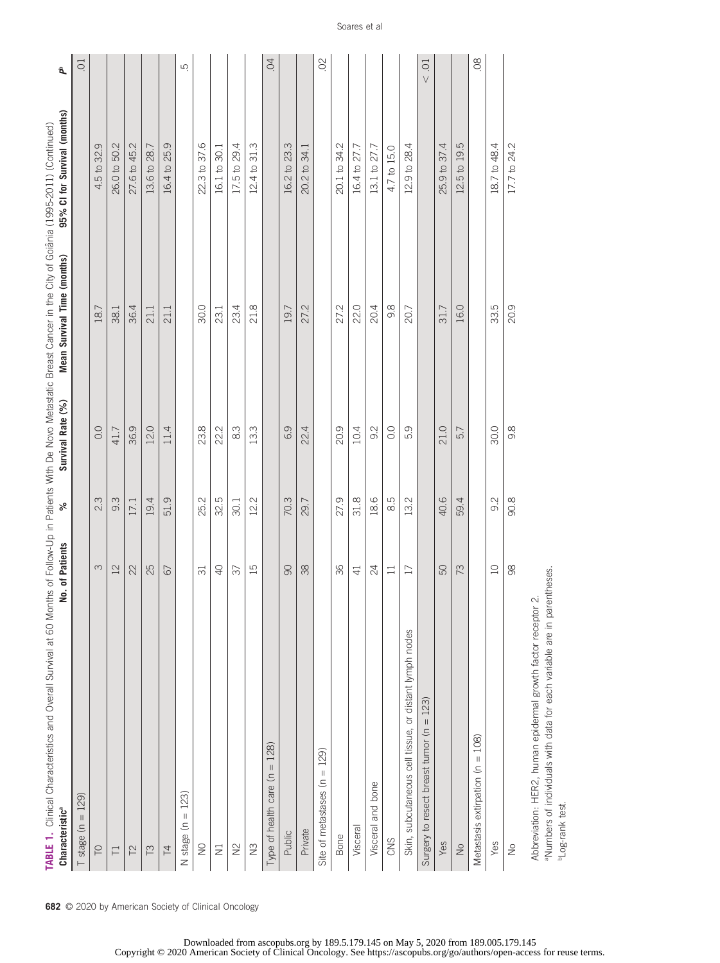| Characteristic <sup>a</sup>                                                                                                                            | No. of Patients          | ್ನೇ                   | Survival Rate (%) | Mean Survival Time (months) | 95% CI for Survival (months)                     | ô,                  |
|--------------------------------------------------------------------------------------------------------------------------------------------------------|--------------------------|-----------------------|-------------------|-----------------------------|--------------------------------------------------|---------------------|
| T stage ( $n = 129$ )                                                                                                                                  |                          |                       |                   |                             |                                                  | $\overline{C}$      |
| <b>PL</b>                                                                                                                                              | $\infty$                 | $2.\overline{3}$      | 0.0               | 18.7                        | $\overline{O}$<br>4.5 to 32.                     |                     |
| $\Box$                                                                                                                                                 | $\mathbb{Z}$             | m.<br>$\infty$        | 41.7              | 38.1                        | 26.0 to 50.2                                     |                     |
| $\overline{C}$                                                                                                                                         | $\approx$                | 17.1                  | 36.9              | 36.4                        | 27.6 to 45.2                                     |                     |
| $\sqrt{3}$                                                                                                                                             | 25                       | 4<br>$\overline{9}$ . | 12.0              | 21.1                        | 13.6 to 28.                                      |                     |
| $\overline{14}$                                                                                                                                        | 67                       | 51.9                  | 11.4              | Ξ.<br>$\overline{21}$       | 25.9<br>16.4 to 2                                |                     |
| $= 123$<br>N stage (n                                                                                                                                  |                          |                       |                   |                             |                                                  | بما                 |
| $\frac{1}{2}$                                                                                                                                          | 5                        | 25.2                  | 23.8              | 30.0                        | $\circ$<br>22.3 to 37                            |                     |
| $\overline{z}$                                                                                                                                         | $\Theta$                 | 32.5                  | 22.2              | 23.1                        | 16.1 to 30.1                                     |                     |
| $\frac{2}{5}$                                                                                                                                          | $\sqrt{6}$               | $-30.1$               | m<br>∞            | 23.4                        | 29.4<br>17.5 <sub>to</sub>                       |                     |
| $\frac{3}{2}$                                                                                                                                          | $\overline{15}$          | 12.2                  | 13.3              | 21.8                        | Ŵ.<br>$\vec{5}$<br>12.4 <sub>to</sub>            |                     |
| Type of health care ( $n = 128$ )                                                                                                                      |                          |                       |                   |                             |                                                  | $\overline{6}$      |
| Public                                                                                                                                                 | $\infty$                 | 70.3                  | 6.9               | 19.7                        | S<br>23.<br>16.2 to                              |                     |
| Private                                                                                                                                                | 38                       | 29.7                  | 22.4              | Ņ<br>27                     | 20.2 to 34.1                                     |                     |
| $= 129$<br>Site of metastases (n                                                                                                                       |                          |                       |                   |                             |                                                  | $\overline{O}$      |
| <b>Bone</b>                                                                                                                                            | 36                       | 27.9                  | 20.9              | 27.2                        | Ņ<br>20.1 to 34.                                 |                     |
| Visceral                                                                                                                                               | $\overline{4}$           | 31.8                  | 10.4              | 22.0                        | 27.7<br>16.4 to                                  |                     |
| Visceral and bone                                                                                                                                      | $\overline{\mathcal{L}}$ | 18.6                  | 9.2               | 20.4                        | 13.1 to 27.7                                     |                     |
| CNS                                                                                                                                                    | $\Xi$                    | Ю<br>$\infty$         | O.0               | $\infty$<br>ெ               | 4.7 to 15.0                                      |                     |
| Skin, subcutaneous cell tissue, or distant lymph nodes                                                                                                 | $\Box$                   | 13.2                  | 5.9               | 20.7                        | 28.4<br>12.9 <sub>to</sub>                       |                     |
| Surgery to resect breast tumor ( $n = 123$ )                                                                                                           |                          |                       |                   |                             |                                                  | $\overline{C}$<br>V |
| Yes                                                                                                                                                    | 50                       | 40.6                  | 21.0              | 31.7                        | 4<br>37<br>25.9 to                               |                     |
| $\frac{1}{2}$                                                                                                                                          | 73                       | 59.4                  | 5.7               | 16.0                        | Ю<br>$\overline{19}$ .<br>$\overline{c}$<br>12.5 |                     |
| Metastasis extirpation ( $n = 108$ )                                                                                                                   |                          |                       |                   |                             |                                                  | $\overline{0}$      |
| Yes                                                                                                                                                    | $\supseteq$              | 9.2                   | 30.0              | 33.5                        | 18.7 to 48.4                                     |                     |
| $\frac{1}{2}$                                                                                                                                          | 88                       | 90.8                  | 9.8               | 20.9                        | 17.7 to 24.2                                     |                     |
| Abbreviation: HER2, human epidermal growth factor receptor<br>aNumbers of individuals with data for each variable are in par<br><b>PLog-rank</b> test. | rentheses<br>ς.          |                       |                   |                             |                                                  |                     |

682 © 2020 by American Society of Clinical Oncology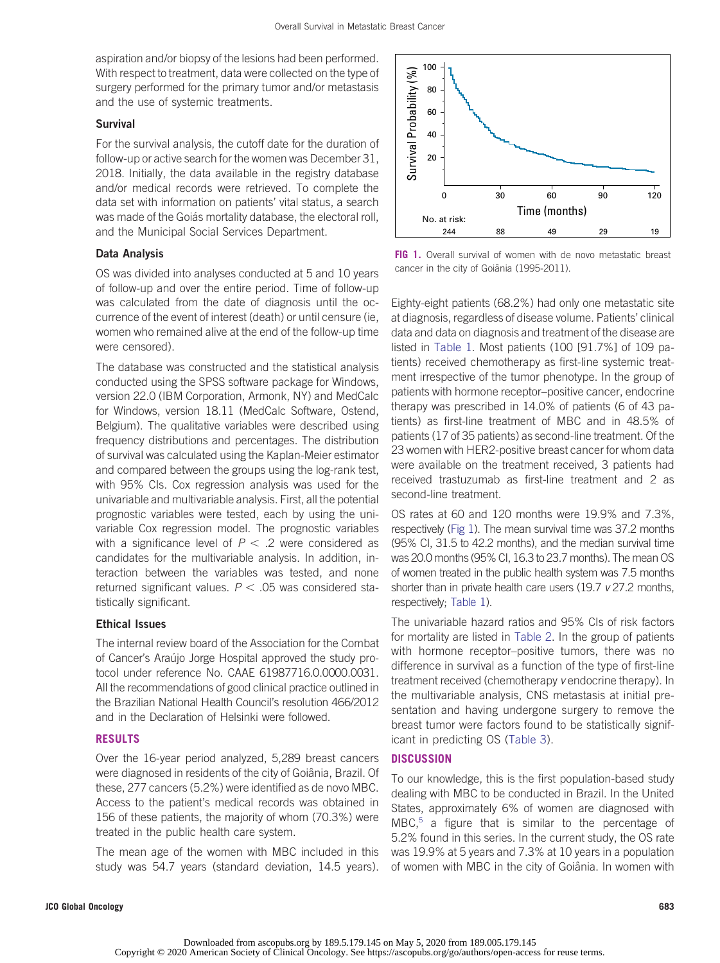aspiration and/or biopsy of the lesions had been performed. With respect to treatment, data were collected on the type of surgery performed for the primary tumor and/or metastasis and the use of systemic treatments.

# **Survival**

For the survival analysis, the cutoff date for the duration of follow-up or active search for the women was December 31, 2018. Initially, the data available in the registry database and/or medical records were retrieved. To complete the data set with information on patients' vital status, a search was made of the Goiás mortality database, the electoral roll, and the Municipal Social Services Department.

# Data Analysis

OS was divided into analyses conducted at 5 and 10 years of follow-up and over the entire period. Time of follow-up was calculated from the date of diagnosis until the occurrence of the event of interest (death) or until censure (ie, women who remained alive at the end of the follow-up time were censored).

The database was constructed and the statistical analysis conducted using the SPSS software package for Windows, version 22.0 (IBM Corporation, Armonk, NY) and MedCalc for Windows, version 18.11 (MedCalc Software, Ostend, Belgium). The qualitative variables were described using frequency distributions and percentages. The distribution of survival was calculated using the Kaplan-Meier estimator and compared between the groups using the log-rank test, with 95% CIs. Cox regression analysis was used for the univariable and multivariable analysis. First, all the potential prognostic variables were tested, each by using the univariable Cox regression model. The prognostic variables with a significance level of  $P < .2$  were considered as candidates for the multivariable analysis. In addition, interaction between the variables was tested, and none returned significant values.  $P < .05$  was considered statistically significant.

# Ethical Issues

The internal review board of the Association for the Combat of Cancer's Araújo Jorge Hospital approved the study protocol under reference No. CAAE 61987716.0.0000.0031. All the recommendations of good clinical practice outlined in the Brazilian National Health Council's resolution 466/2012 and in the Declaration of Helsinki were followed.

# RESULTS

Over the 16-year period analyzed, 5,289 breast cancers were diagnosed in residents of the city of Goiânia, Brazil. Of these, 277 cancers (5.2%) were identified as de novo MBC. Access to the patient's medical records was obtained in 156 of these patients, the majority of whom (70.3%) were treated in the public health care system.

The mean age of the women with MBC included in this study was 54.7 years (standard deviation, 14.5 years).



<span id="page-4-0"></span>FIG 1. Overall survival of women with de novo metastatic breast cancer in the city of Goiânia (1995-2011).

Eighty-eight patients (68.2%) had only one metastatic site at diagnosis, regardless of disease volume. Patients' clinical data and data on diagnosis and treatment of the disease are listed in [Table 1.](#page-2-0) Most patients (100 [91.7%] of 109 patients) received chemotherapy as first-line systemic treatment irrespective of the tumor phenotype. In the group of patients with hormone receptor–positive cancer, endocrine therapy was prescribed in 14.0% of patients (6 of 43 patients) as first-line treatment of MBC and in 48.5% of patients (17 of 35 patients) as second-line treatment. Of the 23 women with HER2-positive breast cancer for whom data were available on the treatment received, 3 patients had received trastuzumab as first-line treatment and 2 as second-line treatment.

OS rates at 60 and 120 months were 19.9% and 7.3%, respectively [\(Fig 1](#page-4-0)). The mean survival time was 37.2 months (95% CI, 31.5 to 42.2 months), and the median survival time was 20.0 months (95% CI, 16.3 to 23.7 months). The mean OS of women treated in the public health system was 7.5 months shorter than in private health care users (19.7 v 27.2 months, respectively; [Table 1\)](#page-2-0).

The univariable hazard ratios and 95% CIs of risk factors for mortality are listed in [Table 2](#page-5-0). In the group of patients with hormone receptor–positive tumors, there was no difference in survival as a function of the type of first-line treatment received (chemotherapy v endocrine therapy). In the multivariable analysis, CNS metastasis at initial presentation and having undergone surgery to remove the breast tumor were factors found to be statistically significant in predicting OS [\(Table 3](#page-6-0)).

# **DISCUSSION**

To our knowledge, this is the first population-based study dealing with MBC to be conducted in Brazil. In the United States, approximately 6% of women are diagnosed with  $MBC<sub>5</sub>$  a figure that is similar to the percentage of 5.2% found in this series. In the current study, the OS rate was 19.9% at 5 years and 7.3% at 10 years in a population of women with MBC in the city of Goiânia. In women with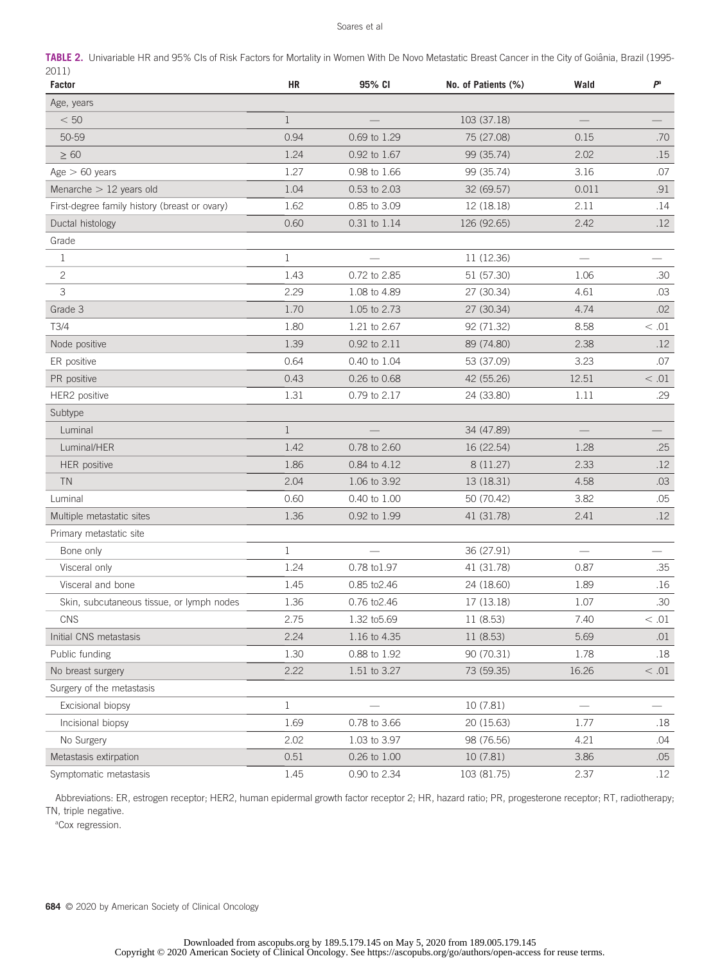#### Soares et al

<span id="page-5-0"></span>

|       | <b>TABLE 2.</b> Univariable HR and 95% CIs of Risk Factors for Mortality in Women With De Novo Metastatic Breast Cancer in the City of Goiânia. Brazil (1995- |  |  |  |  |  |  |  |  |
|-------|---------------------------------------------------------------------------------------------------------------------------------------------------------------|--|--|--|--|--|--|--|--|
| 2011) |                                                                                                                                                               |  |  |  |  |  |  |  |  |

| <b>Factor</b>                                 | HR           | 95% CI       | No. of Patients (%) | Wald                     | $P^a$  |
|-----------------------------------------------|--------------|--------------|---------------------|--------------------------|--------|
| Age, years                                    |              |              |                     |                          |        |
| < 50                                          | $\mathbf{1}$ |              | 103 (37.18)         |                          |        |
| 50-59                                         | 0.94         | 0.69 to 1.29 | 75 (27.08)          | 0.15                     | .70    |
| $\geq 60$                                     | 1.24         | 0.92 to 1.67 | 99 (35.74)          | 2.02                     | .15    |
| Age $> 60$ years                              | 1.27         | 0.98 to 1.66 | 99 (35.74)          | 3.16                     | .07    |
| Menarche $> 12$ years old                     | 1.04         | 0.53 to 2.03 | 32 (69.57)          | 0.011                    | .91    |
| First-degree family history (breast or ovary) | 1.62         | 0.85 to 3.09 | 12 (18.18)          | 2.11                     | .14    |
| Ductal histology                              | 0.60         | 0.31 to 1.14 | 126 (92.65)         | 2.42                     | .12    |
| Grade                                         |              |              |                     |                          |        |
| $\mathbf{1}$                                  | $\mathbf{1}$ |              | 11 (12.36)          | $\overline{\phantom{0}}$ |        |
| $\mathbf{2}$                                  | 1.43         | 0.72 to 2.85 | 51 (57.30)          | 1.06                     | .30    |
| 3                                             | 2.29         | 1.08 to 4.89 | 27 (30.34)          | 4.61                     | .03    |
| Grade 3                                       | 1.70         | 1.05 to 2.73 | 27 (30.34)          | 4.74                     | .02    |
| T3/4                                          | 1.80         | 1.21 to 2.67 | 92 (71.32)          | 8.58                     | < 0.01 |
| Node positive                                 | 1.39         | 0.92 to 2.11 | 89 (74.80)          | 2.38                     | .12    |
| ER positive                                   | 0.64         | 0.40 to 1.04 | 53 (37.09)          | 3.23                     | .07    |
| PR positive                                   | 0.43         | 0.26 to 0.68 | 42 (55.26)          | 12.51                    | < 0.01 |
| HER2 positive                                 | 1.31         | 0.79 to 2.17 | 24 (33.80)          | 1.11                     | .29    |
| Subtype                                       |              |              |                     |                          |        |
| Luminal                                       | $\mathbf{1}$ |              | 34 (47.89)          |                          |        |
| Luminal/HER                                   | 1.42         | 0.78 to 2.60 | 16 (22.54)          | 1.28                     | .25    |
| HER positive                                  | 1.86         | 0.84 to 4.12 | 8(11.27)            | 2.33                     | .12    |
| <b>TN</b>                                     | 2.04         | 1.06 to 3.92 | 13 (18.31)          | 4.58                     | .03    |
| Luminal                                       | 0.60         | 0.40 to 1.00 | 50 (70.42)          | 3.82                     | .05    |
| Multiple metastatic sites                     | 1.36         | 0.92 to 1.99 | 41 (31.78)          | 2.41                     | .12    |
| Primary metastatic site                       |              |              |                     |                          |        |
| Bone only                                     | $\mathbf 1$  |              | 36 (27.91)          |                          |        |
| Visceral only                                 | 1.24         | 0.78 to 1.97 | 41 (31.78)          | 0.87                     | .35    |
| Visceral and bone                             | 1.45         | 0.85 to 2.46 | 24 (18.60)          | 1.89                     | .16    |
| Skin, subcutaneous tissue, or lymph nodes     | 1.36         | 0.76 to 2.46 | 17 (13.18)          | 1.07                     | .30    |
| CNS                                           | 2.75         | 1.32 to 5.69 | 11 (8.53)           | 7.40                     | < 0.01 |
| Initial CNS metastasis                        | 2.24         | 1.16 to 4.35 | 11 (8.53)           | 5.69                     | .01    |
| Public funding                                | 1.30         | 0.88 to 1.92 | 90 (70.31)          | 1.78                     | .18    |
| No breast surgery                             | 2.22         | 1.51 to 3.27 | 73 (59.35)          | 16.26                    | < 0.01 |
| Surgery of the metastasis                     |              |              |                     |                          |        |
| Excisional biopsy                             | $\mathbf{1}$ |              | 10 (7.81)           |                          |        |
| Incisional biopsy                             | 1.69         | 0.78 to 3.66 | 20 (15.63)          | 1.77                     | .18    |
| No Surgery                                    | 2.02         | 1.03 to 3.97 | 98 (76.56)          | 4.21                     | .04    |
| Metastasis extirpation                        | 0.51         | 0.26 to 1.00 | 10 (7.81)           | 3.86                     | .05    |
| Symptomatic metastasis                        | 1.45         | 0.90 to 2.34 | 103 (81.75)         | 2.37                     | .12    |

Abbreviations: ER, estrogen receptor; HER2, human epidermal growth factor receptor 2; HR, hazard ratio; PR, progesterone receptor; RT, radiotherapy; TN, triple negative.

<sup>a</sup>Cox regression.

684 © 2020 by American Society of Clinical Oncology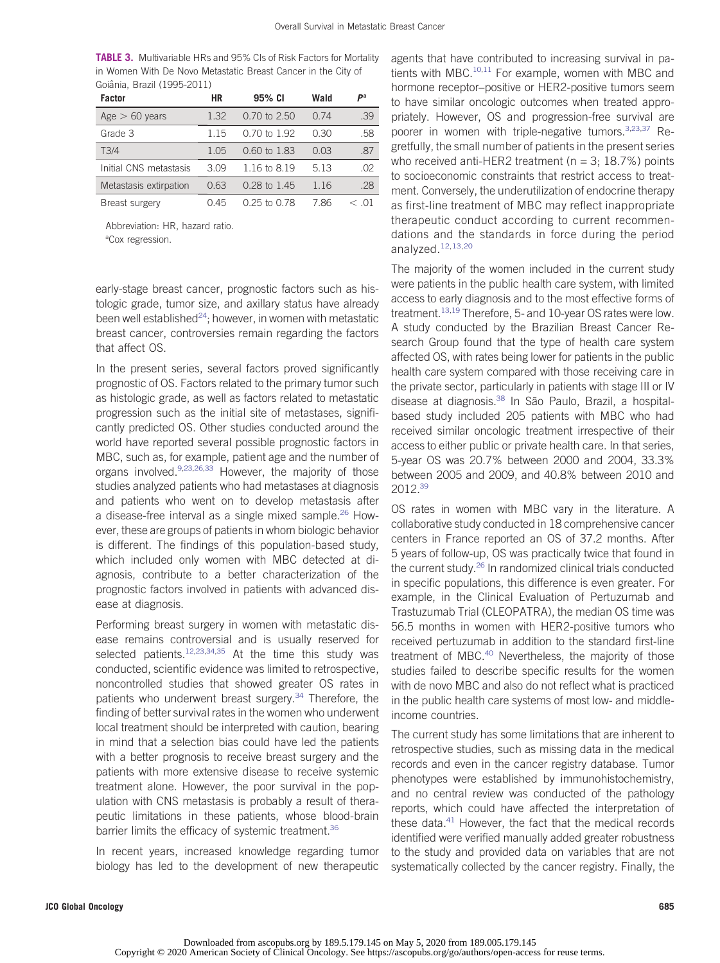<span id="page-6-0"></span>TABLE 3. Multivariable HRs and 95% CIs of Risk Factors for Mortality in Women With De Novo Metastatic Breast Cancer in the City of Goiania, Brazil (1995-2011) ˆ

| Factor                 | HR   | 95% CI                  | Wald | Pa   |
|------------------------|------|-------------------------|------|------|
| Age $> 60$ years       | 1.32 | $0.70$ to $2.50$        | 0.74 | .39  |
| Grade 3                | 1.15 | $0.70 \text{ to } 1.92$ | 0.30 | .58  |
| T <sub>3/4</sub>       | 1.05 | $0.60 \text{ to } 1.83$ | 0.03 | .87  |
| Initial CNS metastasis | 3.09 | 1.16 to 8.19            | 5.13 | .02  |
| Metastasis extirpation | 0.63 | $0.28$ to $1.45$        | 1.16 | .28  |
| Breast surgery         | O 45 | $0.25$ to $0.78$        | 786  | < 01 |

Abbreviation: HR, hazard ratio.

<sup>a</sup>Cox regression.

early-stage breast cancer, prognostic factors such as histologic grade, tumor size, and axillary status have already been well established $^{24}$  $^{24}$  $^{24}$ ; however, in women with metastatic breast cancer, controversies remain regarding the factors that affect OS.

In the present series, several factors proved significantly prognostic of OS. Factors related to the primary tumor such as histologic grade, as well as factors related to metastatic progression such as the initial site of metastases, significantly predicted OS. Other studies conducted around the world have reported several possible prognostic factors in MBC, such as, for example, patient age and the number of organs involved.<sup>9[,23](#page-8-7),[26,](#page-8-10)[33](#page-8-17)</sup> However, the majority of those studies analyzed patients who had metastases at diagnosis and patients who went on to develop metastasis after a disease-free interval as a single mixed sample.<sup>[26](#page-8-10)</sup> However, these are groups of patients in whom biologic behavior is different. The findings of this population-based study, which included only women with MBC detected at diagnosis, contribute to a better characterization of the prognostic factors involved in patients with advanced disease at diagnosis.

Performing breast surgery in women with metastatic disease remains controversial and is usually reserved for selected patients. $12,23,34,35$  $12,23,34,35$  $12,23,34,35$  $12,23,34,35$  At the time this study was conducted, scientific evidence was limited to retrospective, noncontrolled studies that showed greater OS rates in patients who underwent breast surgery.<sup>[34](#page-8-18)</sup> Therefore, the finding of better survival rates in the women who underwent local treatment should be interpreted with caution, bearing in mind that a selection bias could have led the patients with a better prognosis to receive breast surgery and the patients with more extensive disease to receive systemic treatment alone. However, the poor survival in the population with CNS metastasis is probably a result of therapeutic limitations in these patients, whose blood-brain barrier limits the efficacy of systemic treatment.<sup>[36](#page-8-20)</sup>

In recent years, increased knowledge regarding tumor biology has led to the development of new therapeutic

agents that have contributed to increasing survival in pa-tients with MBC.<sup>10,[11](#page-7-10)</sup> For example, women with MBC and hormone receptor–positive or HER2-positive tumors seem to have similar oncologic outcomes when treated appropriately. However, OS and progression-free survival are poorer in women with triple-negative tumors.<sup>[3,](#page-7-7)[23](#page-8-7),[37](#page-8-21)</sup> Regretfully, the small number of patients in the present series who received anti-HER2 treatment ( $n = 3$ ; 18.7%) points to socioeconomic constraints that restrict access to treatment. Conversely, the underutilization of endocrine therapy as first-line treatment of MBC may reflect inappropriate therapeutic conduct according to current recommendations and the standards in force during the period analyzed.[12](#page-7-11)[,13,](#page-7-12)[20](#page-8-4)

The majority of the women included in the current study were patients in the public health care system, with limited access to early diagnosis and to the most effective forms of treatment.<sup>[13](#page-7-12),[19](#page-8-3)</sup> Therefore, 5- and 10-year OS rates were low. A study conducted by the Brazilian Breast Cancer Research Group found that the type of health care system affected OS, with rates being lower for patients in the public health care system compared with those receiving care in the private sector, particularly in patients with stage III or IV disease at diagnosis.<sup>[38](#page-8-22)</sup> In São Paulo, Brazil, a hospitalbased study included 205 patients with MBC who had received similar oncologic treatment irrespective of their access to either public or private health care. In that series, 5-year OS was 20.7% between 2000 and 2004, 33.3% between 2005 and 2009, and 40.8% between 2010 and 2012[.39](#page-8-23)

OS rates in women with MBC vary in the literature. A collaborative study conducted in 18 comprehensive cancer centers in France reported an OS of 37.2 months. After 5 years of follow-up, OS was practically twice that found in the current study.<sup>26</sup> In randomized clinical trials conducted in specific populations, this difference is even greater. For example, in the Clinical Evaluation of Pertuzumab and Trastuzumab Trial (CLEOPATRA), the median OS time was 56.5 months in women with HER2-positive tumors who received pertuzumab in addition to the standard first-line treatment of MBC.<sup>[40](#page-8-24)</sup> Nevertheless, the majority of those studies failed to describe specific results for the women with de novo MBC and also do not reflect what is practiced in the public health care systems of most low- and middleincome countries.

The current study has some limitations that are inherent to retrospective studies, such as missing data in the medical records and even in the cancer registry database. Tumor phenotypes were established by immunohistochemistry, and no central review was conducted of the pathology reports, which could have affected the interpretation of these data.<sup>[41](#page-8-25)</sup> However, the fact that the medical records identified were verified manually added greater robustness to the study and provided data on variables that are not systematically collected by the cancer registry. Finally, the

JCO Global Oncology 685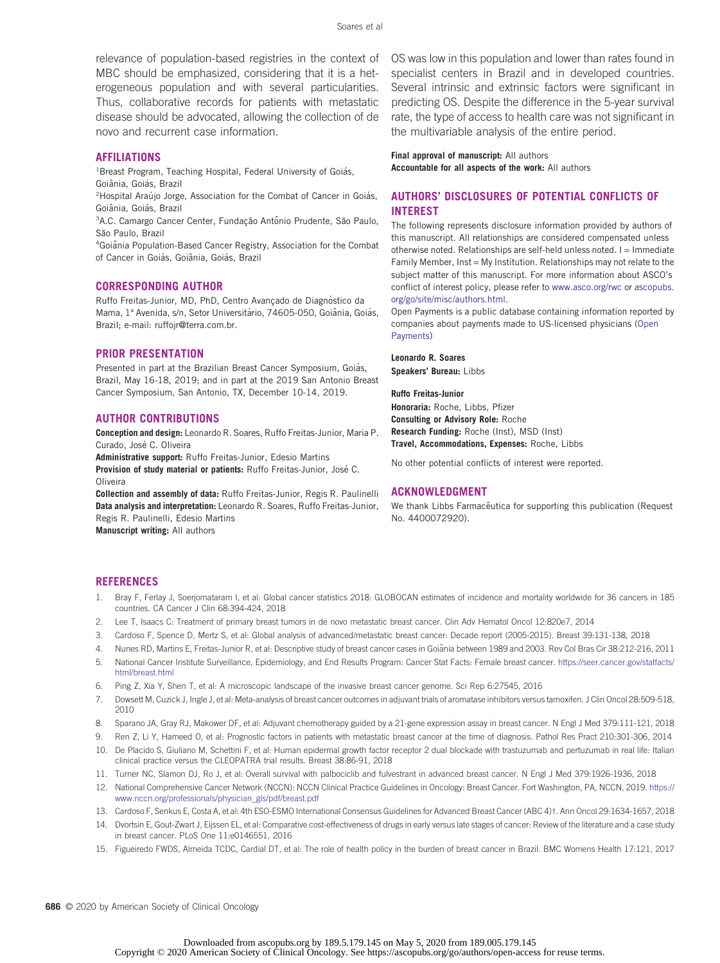relevance of population-based registries in the context of MBC should be emphasized, considering that it is a heterogeneous population and with several particularities. Thus, collaborative records for patients with metastatic disease should be advocated, allowing the collection of de novo and recurrent case information.

#### AFFILIATIONS

<sup>1</sup> Breast Program, Teaching Hospital, Federal University of Goiás, Goiânia, Goiás, Brazil

<sup>2</sup> Hospital Araújo Jorge, Association for the Combat of Cancer in Goiás, Goiânia, Goiás, Brazil

<sup>3</sup>A.C. Camargo Cancer Center, Fundação Antônio Prudente, São Paulo, São Paulo, Brazil

<sup>4</sup>Goiânia Population-Based Cancer Registry, Association for the Combat of Cancer in Goiás, Goiânia, Goiás, Brazil

#### CORRESPONDING AUTHOR

Ruffo Freitas-Junior, MD, PhD, Centro Avançado de Diagnóstico da Mama, 1ª Avenida, s/n, Setor Universitário, 74605-050, Goiânia, Goiás, Brazil; e-mail: [ruffojr@terra.com.br.](mailto:ruffojr@terra.com.br)

#### PRIOR PRESENTATION

Presented in part at the Brazilian Breast Cancer Symposium, Goiás, Brazil, May 16-18, 2019; and in part at the 2019 San Antonio Breast Cancer Symposium, San Antonio, TX, December 10-14, 2019.

#### AUTHOR CONTRIBUTIONS

Conception and design: Leonardo R. Soares, Ruffo Freitas-Junior, Maria P. Curado, José C. Oliveira

Administrative support: Ruffo Freitas-Junior, Edesio Martins

Provision of study material or patients: Ruffo Freitas-Junior, José C. Oliveira

Collection and assembly of data: Ruffo Freitas-Junior, Regis R. Paulinelli Data analysis and interpretation: Leonardo R. Soares, Ruffo Freitas-Junior, Regis R. Paulinelli, Edesio Martins Manuscript writing: All authors

OS was low in this population and lower than rates found in specialist centers in Brazil and in developed countries. Several intrinsic and extrinsic factors were significant in predicting OS. Despite the difference in the 5-year survival rate, the type of access to health care was not significant in the multivariable analysis of the entire period.

#### Final approval of manuscript: All authors Accountable for all aspects of the work: All authors

# AUTHORS' DISCLOSURES OF POTENTIAL CONFLICTS OF INTEREST

The following represents disclosure information provided by authors of this manuscript. All relationships are considered compensated unless otherwise noted. Relationships are self-held unless noted. I = Immediate Family Member, Inst = My Institution. Relationships may not relate to the subject matter of this manuscript. For more information about ASCO's conflict of interest policy, please refer to [www.asco.org/rwc](http://www.asco.org/rwc) or [ascopubs.](https://ascopubs.org/go/site/misc/authors.html) [org/go/site/misc/authors.html.](https://ascopubs.org/go/site/misc/authors.html)

Open Payments is a public database containing information reported by companies about payments made to US-licensed physicians [\(Open](https://openpaymentsdata.cms.gov/) [Payments](https://openpaymentsdata.cms.gov/))

Leonardo R. Soares Speakers' Bureau: Libbs

#### Ruffo Freitas-Junior

Honoraria: Roche, Libbs, Pfizer Consulting or Advisory Role: Roche Research Funding: Roche (Inst), MSD (Inst) Travel, Accommodations, Expenses: Roche, Libbs

No other potential conflicts of interest were reported.

#### ACKNOWLEDGMENT

We thank Libbs Farmacêutica for supporting this publication (Request No. 4400072920).

#### **REFERENCES**

- <span id="page-7-0"></span>1. Bray F, Ferlay J, Soerjomataram I, et al: Global cancer statistics 2018: GLOBOCAN estimates of incidence and mortality worldwide for 36 cancers in 185 countries. CA Cancer J Clin 68:394-424, 2018
- <span id="page-7-1"></span>2. Lee T, Isaacs C: Treatment of primary breast tumors in de novo metastatic breast cancer. Clin Adv Hematol Oncol 12:820e7, 2014
- <span id="page-7-7"></span>3. Cardoso F, Spence D, Mertz S, et al: Global analysis of advanced/metastatic breast cancer: Decade report (2005-2015). Breast 39:131-138, 2018
- <span id="page-7-2"></span>4. Nunes RD, Martins E, Freitas-Junior R, et al: Descriptive study of breast cancer cases in Goiania between 1989 and 2003. Rev Col Bras Cir 38:212-216, 2011 ˆ
- <span id="page-7-3"></span>5. National Cancer Institute Surveillance, Epidemiology, and End Results Program: Cancer Stat Facts: Female breast cancer. [https://seer.cancer.gov/statfacts/](https://seer.cancer.gov/statfacts/html/breast.html) html/hreast.html
- <span id="page-7-4"></span>6. Ping Z, Xia Y, Shen T, et al: A microscopic landscape of the invasive breast cancer genome. Sci Rep 6:27545, 2016
- <span id="page-7-5"></span>7. Dowsett M, Cuzick J, Ingle J, et al: Meta-analysis of breast cancer outcomes in adjuvant trials of aromatase inhibitors versus tamoxifen. J Clin Oncol 28:509-518, 2010
- <span id="page-7-6"></span>8. Sparano JA, Gray RJ, Makower DF, et al: Adjuvant chemotherapy guided by a 21-gene expression assay in breast cancer. N Engl J Med 379:111-121, 2018
- <span id="page-7-8"></span>9. Ren Z, Li Y, Hameed O, et al: Prognostic factors in patients with metastatic breast cancer at the time of diagnosis. Pathol Res Pract 210:301-306, 2014
- <span id="page-7-9"></span>10. De Placido S, Giuliano M, Schettini F, et al: Human epidermal growth factor receptor 2 dual blockade with trastuzumab and pertuzumab in real life: Italian clinical practice versus the CLEOPATRA trial results. Breast 38:86-91, 2018
- <span id="page-7-10"></span>11. Turner NC, Slamon DJ, Ro J, et al: Overall survival with palbociclib and fulvestrant in advanced breast cancer. N Engl J Med 379:1926-1936, 2018
- <span id="page-7-11"></span>12. National Comprehensive Cancer Network (NCCN): NCCN Clinical Practice Guidelines in Oncology: Breast Cancer. Fort Washington, PA, NCCN, 2019. [https://](https://www.nccn.org/professionals/physician_gls/pdf/breast) [www.nccn.org/professionals/physician\\_gls/pdf/breast.](https://www.nccn.org/professionals/physician_gls/pdf/breast)[pdf](http://pdf)
- <span id="page-7-12"></span>13. Cardoso F, Senkus E, Costa A, et al: 4th ESO-ESMO International Consensus Guidelines for Advanced Breast Cancer (ABC 4)†. Ann Oncol 29:1634-1657, 2018
- <span id="page-7-13"></span>14. Dvortsin E, Gout-Zwart J, Eijssen EL, et al: Comparative cost-effectiveness of drugs in early versus late stages of cancer: Review of the literature and a case study in breast cancer. PLoS One 11:e0146551, 2016
- <span id="page-7-14"></span>15. Figueiredo FWDS, Almeida TCDC, Cardial DT, et al: The role of health policy in the burden of breast cancer in Brazil. BMC Womens Health 17:121, 2017

686 © 2020 by American Society of Clinical Oncology